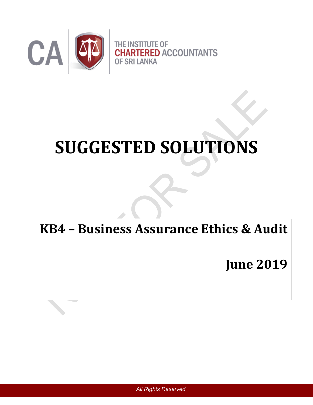

# **SUGGESTED SOLUTIONS**

# **KB4 – Business Assurance Ethics & Audit**

**June 2019**

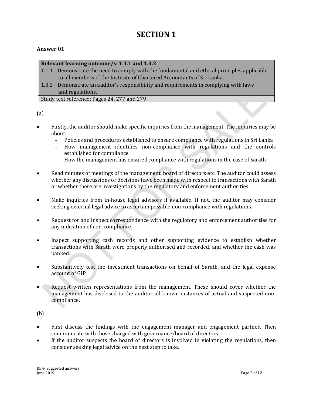## **SECTION 1**

#### **Answer 01**

#### **Relevant learning outcome/s: 1.1.1 and 1.3.2**

- 1.1.1 Demonstrate the need to comply with the fundamental and ethical principles applicable to all members of the Institute of Chartered Accountants of Sri Lanka.
- 1.3.2 Demonstrate an auditor's responsibility and requirements in complying with laws and regulations.

Study text reference: Pages 24, 277 and 279

(a)

- Firstly, the auditor should make specific inquiries from the management. The inquiries may be about:
	- Policies and procedures established to ensure compliance with regulations in Sri Lanka
	- How management identifies non-compliance with regulations and the controls established for compliance
	- How the management has ensured compliance with regulations in the case of Sarath
- Read minutes of meetings of the management, board of directors etc. The auditor could assess whether any discussions or decisions have been made with respect to transactions with Sarath or whether there are investigations by the regulatory and enforcement authorities.
- Make inquiries from in-house legal advisors if available. If not, the auditor may consider seeking external legal advice to ascertain possible non-compliance with regulations.
- Request for and inspect correspondence with the regulatory and enforcement authorities for any indication of non-compliance.
- Inspect supporting cash records and other supporting evidence to establish whether transactions with Sarath were properly authorised and recorded, and whether the cash was banked.
- Substantively test the investment transactions on behalf of Sarath, and the legal expense account of GIP.
- Request written representations from the management. These should cover whether the management has disclosed to the auditor all known instances of actual and suspected noncompliance.

(b)

- First discuss the findings with the engagement manager and engagement partner. Then communicate with those charged with governance/board of directors.
- If the auditor suspects the board of directors is involved in violating the regulations, then consider seeking legal advice on the next step to take.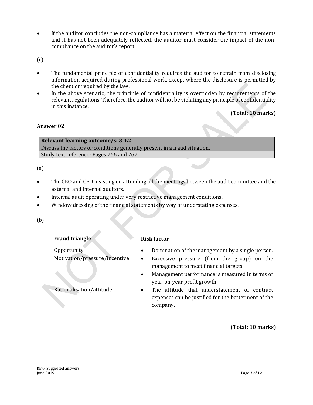If the auditor concludes the non-compliance has a material effect on the financial statements and it has not been adequately reflected, the auditor must consider the impact of the noncompliance on the auditor's report.

 $(c)$ 

- The fundamental principle of confidentiality requires the auditor to refrain from disclosing information acquired during professional work, except where the disclosure is permitted by the client or required by the law.
- In the above scenario, the principle of confidentiality is overridden by requirements of the relevant regulations. Therefore, the auditor will not be violating any principle of confidentiality in this instance.

**(Total: 10 marks)**

#### **Answer 02**

**Relevant learning outcome/s: 3.4.2** Discuss the factors or conditions generally present in a fraud situation. Study text reference: Pages 266 and 267

(a)

- The CEO and CFO insisting on attending all the meetings between the audit committee and the external and internal auditors.
- Internal audit operating under very restrictive management conditions.

 $\mathcal{L}_{\mathcal{A}}$ 

Window dressing of the financial statements by way of understating expenses.

(b)

| <b>Fraud triangle</b>         | <b>Risk factor</b>                                                                                                                                                                |
|-------------------------------|-----------------------------------------------------------------------------------------------------------------------------------------------------------------------------------|
| Opportunity                   | Domination of the management by a single person.                                                                                                                                  |
| Motivation/pressure/incentive | Excessive pressure (from the group) on the<br>$\bullet$<br>management to meet financial targets.<br>Management performance is measured in terms of<br>year-on-year profit growth. |
| Rationalisation/attitude      | The attitude that understatement of contract<br>expenses can be justified for the betterment of the<br>company.                                                                   |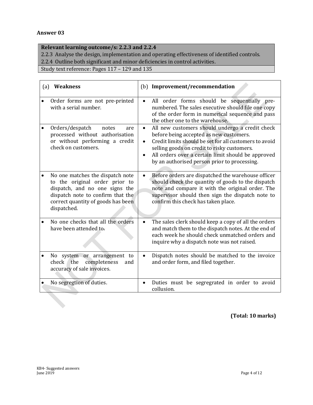#### **Answer 03**

#### **Relevant learning outcome/s: 2.2.3 and 2.2.4**

2.2.3 Analyse the design, implementation and operating effectiveness of identified controls.

2.2.4 Outline both significant and minor deficiencies in control activities.

Study text reference: Pages 117 – 129 and 135

| (a) | <b>Weakness</b>                                                                                                                                                                                |                                     | (b) Improvement/recommendation                                                                                                                                                                                                                                                                            |
|-----|------------------------------------------------------------------------------------------------------------------------------------------------------------------------------------------------|-------------------------------------|-----------------------------------------------------------------------------------------------------------------------------------------------------------------------------------------------------------------------------------------------------------------------------------------------------------|
|     | Order forms are not pre-printed<br>with a serial number.                                                                                                                                       | $\bullet$                           | All order forms should be sequentially pre-<br>numbered. The sales executive should file one copy<br>of the order form in numerical sequence and pass<br>the other one to the warehouse.                                                                                                                  |
|     | Orders/despatch<br>notes<br>are<br>processed without authorisation<br>or without performing a credit<br>check on customers.                                                                    | $\bullet$<br>$\bullet$<br>$\bullet$ | All new customers should undergo a credit check<br>before being accepted as new customers.<br>Credit limits should be set for all customers to avoid<br>selling goods on credit to risky customers.<br>All orders over a certain limit should be approved<br>by an authorised person prior to processing. |
|     | No one matches the dispatch note<br>to the original order prior to<br>dispatch, and no one signs the<br>dispatch note to confirm that the<br>correct quantity of goods has been<br>dispatched. | $\bullet$                           | Before orders are dispatched the warehouse officer<br>should check the quantity of goods to the dispatch<br>note and compare it with the original order. The<br>supervisor should then sign the dispatch note to<br>confirm this check has taken place.                                                   |
|     | No one checks that all the orders<br>have been attended to.                                                                                                                                    | $\bullet$                           | The sales clerk should keep a copy of all the orders<br>and match them to the dispatch notes. At the end of<br>each week he should check unmatched orders and<br>inquire why a dispatch note was not raised.                                                                                              |
|     | No system or arrangement to<br>check the<br>completeness<br>and<br>accuracy of sale invoices.                                                                                                  | $\bullet$                           | Dispatch notes should be matched to the invoice<br>and order form, and filed together.                                                                                                                                                                                                                    |
|     | No segregtion of duties.                                                                                                                                                                       | $\bullet$                           | Duties must be segregrated in order to avoid<br>collusion.                                                                                                                                                                                                                                                |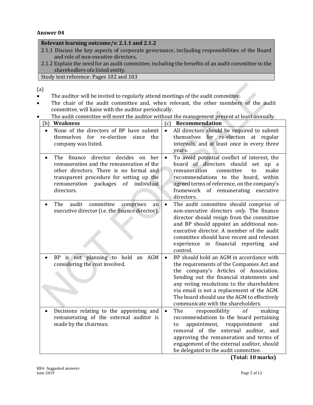#### **Answer 04**

#### **Relevant learning outcome/s: 2.1.1 and 2.1.2**

- 2.1.1 Discuss the key aspects of corporate governance, incljuding responsibilities of the Board and role of non-exeutive directors.
- 2.1.2 Explain the need for an audit committee, including the benefits of an audit committee to the sharehodlers ofa listed entity.

Study text reference: Pages 102 and 103

(a)

- The auditor will be invited to regularly attend meetings of the audit committee.
- The chair of the audit committee and, when relevant, the other members of the audit committee, will liaise with the auditor periodically.
- The audit committee will meet the auditor without the management present at least annually.

| (b)<br><b>Weakness</b>                                                                                                                                                                                                                     | (c)<br>Recommendation                                                                                                                                                                                                                                                                                                                                                     |
|--------------------------------------------------------------------------------------------------------------------------------------------------------------------------------------------------------------------------------------------|---------------------------------------------------------------------------------------------------------------------------------------------------------------------------------------------------------------------------------------------------------------------------------------------------------------------------------------------------------------------------|
| None of the directors of BP have submit<br>themselves<br>for re-election since<br>the<br>company was listed.                                                                                                                               | All directors should be required to submit<br>$\bullet$<br>themselves for re-election at regular<br>intervals, and at least once in every three                                                                                                                                                                                                                           |
| The finance director decides<br>on<br>her<br>remuneration and the remuneration of the<br>other directors. There is no formal and<br>transparent procedure for setting up the<br>remuneration<br>packages<br>of<br>individual<br>directors. | years.<br>To avoid potential conflict of interest, the<br>$\bullet$<br>board of directors should<br>set<br>up a<br>remuneration<br>committee<br>make<br>to<br>recommendations to the board, within<br>agreed terms of reference, on the company's<br>framework of remunerating<br>executive<br>directors.                                                                 |
| The<br>audit<br>committee<br>comprises<br>an<br>$\bullet$<br>executive director (i.e. the finance director).                                                                                                                               | The audit committee should comprise of<br>$\bullet$<br>non-executive directors only. The finance<br>director should resign from the committee<br>and BP should appoint an additional non-<br>executive director. A member of the audit<br>committee should have recent and relevant<br>experience in financial reporting and<br>control.                                  |
| BP is not planning to hold an AGM<br>considering the cost involved.                                                                                                                                                                        | BP should hold an AGM in accordance with<br>$\bullet$<br>the requirements of the Companies Act and<br>the company's Articles of Association.<br>Sending out the financial statements and<br>any voting resolutions to the shareholders<br>via email is not a replacement of the AGM.<br>The board should use the AGM to effectively<br>communicate with the shareholders. |
| Decisions relating to the appointing and<br>remunerating of the external auditor is<br>made by the chairman.                                                                                                                               | The<br>responsibility<br>of<br>$\bullet$<br>making<br>recommendations to the board pertaining<br>appointment,<br>reappointment<br>and<br>to<br>removal of the external auditor,<br>and<br>approving the remuneration and terms of<br>engagement of the external auditor, should<br>be delegated to the audit committee.                                                   |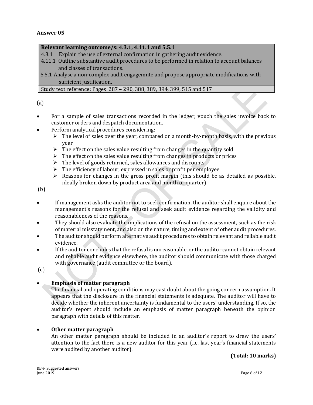#### **Relevant learning outcome/s: 4.3.1, 4.11.1 and 5.5.1**

- 4.3.1 Explain the use of external confirmation in gathering audit evidence.
- 4.11.1 Outline substantive audit procedures to be performed in relation to account balances and classes of transactions.
- 5.5.1 Analyse a non-complex audit engagemnte and propose appropriate modifications with sufficient justification.

Study text reference: Pages 287 – 290, 388, 389, 394, 399, 515 and 517

(a)

- For a sample of sales transactions recorded in the ledger, vouch the sales invoice back to customer orders and despatch documentation.
- Perform analytical procedures considering:
	- $\triangleright$  The level of sales over the year, compared on a month-by-month basis, with the previous year
	- $\triangleright$  The effect on the sales value resulting from changes in the quantity sold
	- $\triangleright$  The effect on the sales value resulting from changes in products or prices
	- $\triangleright$  The level of goods returned, sales allowances and discounts
	- $\triangleright$  The efficiency of labour, expressed in sales or profit per employee
	- $\triangleright$  Reasons for changes in the gross profit margin (this should be as detailed as possible, ideally broken down by product area and month or quarter)

(b)

- If management asks the auditor not to seek confirmation, the auditor shall enquire about the management's reasons for the refusal and seek audit evidence regarding the validity and reasonableness of the reasons.
- They should also evaluate the implications of the refusal on the assessment, such as the risk of material misstatement, and also on the nature, timing and extent of other audit procedures.
- The auditor should perform alternative audit procedures to obtain relevant and reliable audit evidence.
- If the auditor concludes that the refusal is unreasonable, or the auditor cannot obtain relevant and reliable audit evidence elsewhere, the auditor should communicate with those charged with governance (audit committee or the board).

(c)

#### **Emphasis of matter paragraph**

The financial and operating conditions may cast doubt about the going concern assumption. It appears that the disclosure in the financial statements is adequate. The auditor will have to decide whether the inherent uncertainty is fundamental to the users' understanding. If so, the auditor's report should include an emphasis of matter paragraph beneath the opinion paragraph with details of this matter.

#### **Other matter paragraph**

An other matter paragraph should be included in an auditor's report to draw the users' attention to the fact there is a new auditor for this year (i.e. last year's financial statements were audited by another auditor).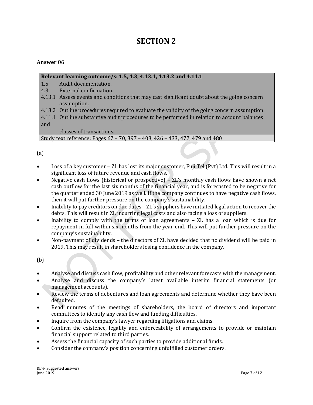### **SECTION 2**

#### **Answer 06**

#### **Relevant learning outcome/s: 1.5, 4.3, 4.13.1, 4.13.2 and 4.11.1**

- 1.5 Audit documentation.
- 4.3 External confirmation.
- 4.13.1 Assess events and conditions that may cast significant doubt about the going concern assumption.
- 4.13.2 Outline procedures required to evaluate the validity of the going concern assumption.

4.11.1 Outline substantive audit procedures to be performed in relation to account balances and

classes of transactions.

Study text reference: Pages 67 – 70, 397 – 403, 426 – 433, 477, 479 and 480

(a)

- Loss of a key customer ZL has lost its major customer, Fuji Tel (Pvt) Ltd. This will result in a significant loss of future revenue and cash flows.
- Negative cash flows (historical or prospective) ZL's monthly cash flows have shown a net cash outflow for the last six months of the financial year, and is forecasted to be negative for the quarter ended 30 June 2019 as well. If the company continues to have negative cash flows, then it will put further pressure on the company's sustainability.
- Inability to pay creditors on due dates ZL's suppliers have initiated legal action to recover the debts. This will result in ZL incurring legal costs and also facing a loss of suppliers.
- Inability to comply with the terms of loan agreements ZL has a loan which is due for repayment in full within six months from the year-end. This will put further pressure on the company's sustainability.
- Non-payment of dividends the directors of ZL have decided that no dividend will be paid in 2019. This may result in shareholders losing confidence in the company.

(b)

- Analyse and discuss cash flow, profitability and other relevant forecasts with the management.
- Analyse and discuss the company's latest available interim financial statements (or management accounts).
- Review the terms of debentures and loan agreements and determine whether they have been defaulted.
- Read minutes of the meetings of shareholders, the board of directors and important committees to identify any cash flow and funding difficulties.
- Inquire from the company's lawyer regarding litigations and claims.
- Confirm the existence, legality and enforceability of arrangements to provide or maintain financial support related to third parties.
- Assess the financial capacity of such parties to provide additional funds.
- Consider the company's position concerning unfulfilled customer orders.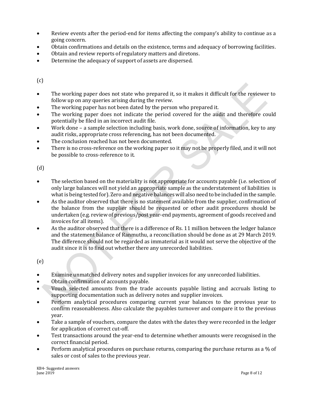- Review events after the period-end for items affecting the company's ability to continue as a going concern.
- Obtain confirmations and details on the existence, terms and adequacy of borrowing facilities.
- Obtain and review reports of regulatory matters and diretons.
- Determine the adequacy of support of assets are dispersed.

 $(c)$ 

- The working paper does not state who prepared it, so it makes it difficult for the reviewer to follow up on any queries arising during the review.
- The working paper has not been dated by the person who prepared it.
- The working paper does not indicate the period covered for the audit and therefore could potentially be filed in an incorrect audit file.
- Work done a sample selection including basis, work done, source of information, key to any audit risks, appropriate cross referencing, has not been documented.
- The conclusion reached has not been documented.
- There is no cross-reference on the working paper so it may not be properly filed, and it will not be possible to cross-reference to it.

(d)

- The selection based on the materiality is not appropriate for accounts payable (i.e. selection of only large balances will not yield an appropriate sample as the understatement of liabilities is what is being tested for). Zero and negative balances will also need to be included in the sample.
- As the auditor observed that there is no statement available from the supplier, confirmation of the balance from the supplier should be requested or other audit procedures should be undertaken (e.g. review of previous/post year-end payments, agreement of goods received and invoices for all items).
- As the auditor observed that there is a difference of Rs. 11 million between the ledger balance and the statement balance of Ranmuthu, a reconciliation should be done as at 29 March 2019. The difference should not be regarded as immaterial as it would not serve the objective of the audit since it is to find out whether there any unrecorded liabilities.

(e)

- Examine unmatched delivery notes and supplier invoices for any unrecorded liabilities.
- Obtain confirmation of accounts payable.
- Vouch selected amounts from the trade accounts payable listing and accruals listing to supporting documentation such as delivery notes and supplier invoices.
- Perform analytical procedures comparing current year balances to the previous year to confirm reasonableness. Also calculate the payables turnover and compare it to the previous year.
- Take a sample of vouchers, compare the dates with the dates they were recorded in the ledger for application of correct cut-off.
- Test transactions around the year-end to determine whether amounts were recognised in the correct financial period.
- **•** Perform analytical procedures on purchase returns, comparing the purchase returns as a % of sales or cost of sales to the previous year.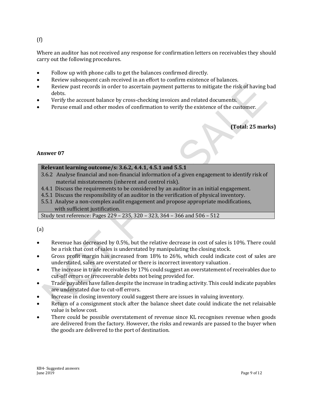#### (f)

Where an auditor has not received any response for confirmation letters on receivables they should carry out the following procedures.

- Follow up with phone calls to get the balances confirmed directly.
- Review subsequent cash received in an effort to confirm existence of balances.
- Review past records in order to ascertain payment patterns to mitigate the risk of having bad debts.
- Verify the account balance by cross-checking invoices and related documents.
- Peruse email and other modes of confirmation to verify the existence of the customer.

#### **(Total: 25 marks)**

#### **Answer 07**

#### **Relevant learning outcome/s: 3.6.2, 4.4.1, 4.5.1 and 5.5.1**

- 3.6.2 Analyse financial and non-financial information of a given engagement to identify risk of material misstatements (inherent and control risk).
- 4.4.1 Discuss the requirements to be considered by an auditor in an initial engagement.
- 4.5.1 Discuss the responsibility of an auditor in the verification of physical inventory.
- 5.5.1 Analyse a non-complex audit engagement and propose appropriate modifications, with sufficient justification.

Study text reference: Pages 229 – 235, 320 – 323, 364 – 366 and 506 – 512

#### (a)

- Revenue has decreased by 0.5%, but the relative decrease in cost of sales is 10%. There could be a risk that cost of sales is understated by manipulating the closing stock.
- Gross profit margin has increased from 18% to 26%, which could indicate cost of sales are understated, sales are overstated or there is incorrect inventory valuation .
- The increase in trade receivables by 17% could suggest an overstatement of receivables due to cut-off errors or irrecoverable debts not being provided for.
- Trade payables have fallen despite the increase in trading activity. This could indicate payables are understated due to cut-off errors.
- Increase in closing inventory could suggest there are issues in valuing inventory.
- Return of a consignment stock after the balance sheet date could indicate the net relaisable value is below cost.
- There could be possible overstatement of revenue since KL recognises revenue when goods are delivered from the factory. However, the risks and rewards are passed to the buyer when the goods are delivered to the port of destination.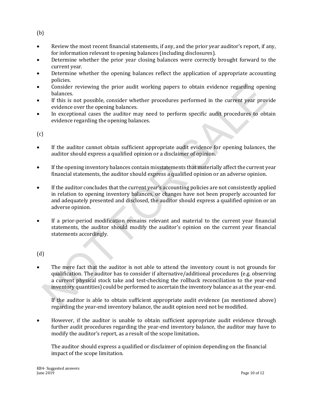(b)

- Review the most recent financial statements, if any, and the prior year auditor's report, if any, for information relevant to opening balances (including disclosures).
- Determine whether the prior year closing balances were correctly brought forward to the current year.
- Determine whether the opening balances reflect the application of appropriate accounting policies.
- Consider reviewing the prior audit working papers to obtain evidence regarding opening balances.
- If this is not possible, consider whether procedures performed in the current year provide evidence over the opening balances.
- In exceptional cases the auditor may need to perform specific audit procedures to obtain evidence regarding the opening balances.

(c)

- If the auditor cannot obtain sufficient appropriate audit evidence for opening balances, the auditor should express a qualified opinion or a disclaimer of opinion.
- If the opening inventory balances contain misstatements that materially affect the current year financial statements, the auditor should express a qualified opinion or an adverse opinion.
- If the auditor concludes that the current year's accounting policies are not consistently applied in relation to opening inventory balances, or changes have not been properly accounted for and adequately presented and disclosed, the auditor should express a qualified opinion or an adverse opinion.
- If a prior-period modification remains relevant and material to the current year financial statements, the auditor should modify the auditor's opinion on the current year financial statements accordingly.

(d)

 The mere fact that the auditor is not able to attend the inventory count is not grounds for qualification. The auditor has to consider if alternative/additional procedures (e.g. observing a current physical stock take and test-checking the rollback reconciliation to the year-end inventory quantities) could be performed to ascertain the inventory balance as at the year-end.

If the auditor is able to obtain sufficient appropriate audit evidence (as mentioned above) regarding the year-end inventory balance, the audit opinion need not be modified.

 However, if the auditor is unable to obtain sufficient appropriate audit evidence through further audit procedures regarding the year-end inventory balance, the auditor may have to modify the auditor's report, as a result of the scope limitation**.**

The auditor should express a qualified or disclaimer of opinion depending on the financial impact of the scope limitation.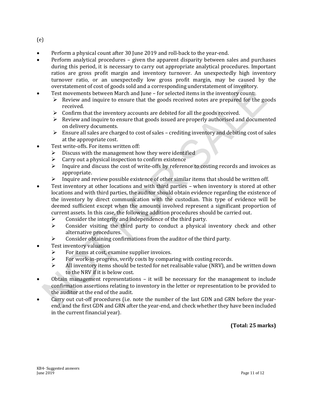(e)

- Perform a physical count after 30 June 2019 and roll-back to the year-end.
- Perform analytical procedures given the apparent disparity between sales and purchases during this period, it is necessary to carry out appropriate analytical procedures. Important ratios are gross profit margin and inventory turnover. An unexpectedly high inventory turnover ratio, or an unexpectedly low gross profit margin, may be caused by the overstatement of cost of goods sold and a corresponding understatement of inventory.
- Test movements between March and June for selected items in the inventory count:
	- $\triangleright$  Review and inquire to ensure that the goods received notes are prepared for the goods received.
	- $\triangleright$  Confirm that the inventory accounts are debited for all the goods received.
	- $\triangleright$  Review and inquire to ensure that goods issued are properly authorised and documented on delivery documents.
	- $\triangleright$  Ensure all sales are charged to cost of sales crediting inventory and debiting cost of sales at the appropriate cost.
- Test write-offs. For items written off:
	- $\triangleright$  Discuss with the management how they were identified
	- $\triangleright$  Carry out a physical inspection to confirm existence
	- $\triangleright$  Inquire and discuss the cost of write-offs by reference to costing records and invoices as appropriate.
	- $\triangleright$  Inquire and review possible existence of other similar items that should be written off.
- Test inventory at other locations and with third parties when inventory is stored at other locations and with third parties, the auditor should obtain evidence regarding the existence of the inventory by direct communication with the custodian. This type of evidence will be deemed sufficient except when the amounts involved represent a significant proportion of current assets. In this case, the following addition procedures should be carried out.
	- $\triangleright$  Consider the integrity and independence of the third party.
	- $\triangleright$  Consider visiting the third party to conduct a physical inventory check and other alternative procedures.
	- Consider obtaining confirmations from the auditor of the third party.
- Test inventory valuation
	- $\triangleright$  For items at cost, examine supplier invoices.
	- $\triangleright$  For work-in-progress, verify costs by comparing with costing records.
	- $\triangleright$  All inventory items should be tested for net realisable value (NRV), and be written down to the NRV if it is below cost.
- Obtain management representations it will be necessary for the management to include confirmation assertions relating to inventory in the letter or representation to be provided to the auditor at the end of the audit.
- Carry out cut-off procedures (i.e. note the number of the last GDN and GRN before the yearend, and the first GDN and GRN after the year-end, and check whether they have been included in the current financial year).

**(Total: 25 marks)**